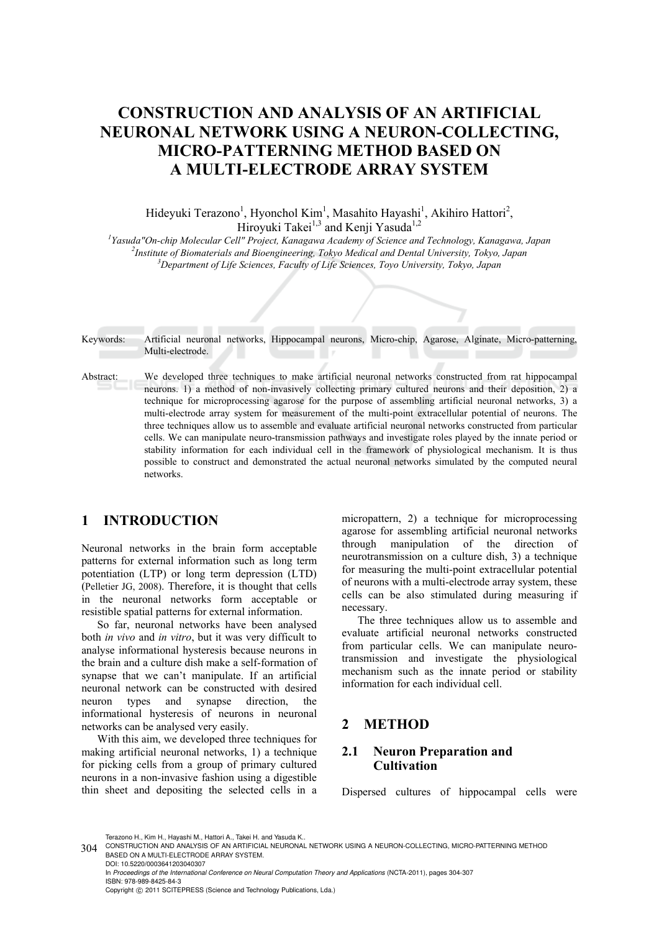# **CONSTRUCTION AND ANALYSIS OF AN ARTIFICIAL NEURONAL NETWORK USING A NEURON-COLLECTING, MICRO-PATTERNING METHOD BASED ON A MULTI-ELECTRODE ARRAY SYSTEM**

Hideyuki Terazono<sup>1</sup>, Hyonchol Kim<sup>1</sup>, Masahito Hayashi<sup>1</sup>, Akihiro Hattori<sup>2</sup>, Hiroyuki Takei<sup>1,3</sup> and Kenji Yasuda<sup>1,2</sup>

<sup>1</sup> Yasuda "On-chip Molecular Cell" Project, Kanagawa Academy of Science and Technology, Kanagawa, Japan <sup>2</sup> Institute of Piomaterials and Piocarcinessing Telpse Mediael and Dental University Telpse Japan *Institute of Biomaterials and Bioengineering, Tokyo Medical and Dental University, Tokyo, Japan 3 Department of Life Sciences, Faculty of Life Sciences, Toyo University, Tokyo, Japan* 

Keywords: Artificial neuronal networks, Hippocampal neurons, Micro-chip, Agarose, Alginate, Micro-patterning, Multi-electrode.

Abstract: We developed three techniques to make artificial neuronal networks constructed from rat hippocampal neurons. 1) a method of non-invasively collecting primary cultured neurons and their deposition, 2) a technique for microprocessing agarose for the purpose of assembling artificial neuronal networks, 3) a multi-electrode array system for measurement of the multi-point extracellular potential of neurons. The three techniques allow us to assemble and evaluate artificial neuronal networks constructed from particular cells. We can manipulate neuro-transmission pathways and investigate roles played by the innate period or stability information for each individual cell in the framework of physiological mechanism. It is thus possible to construct and demonstrated the actual neuronal networks simulated by the computed neural networks.

## **1 INTRODUCTION**

Neuronal networks in the brain form acceptable patterns for external information such as long term potentiation (LTP) or long term depression (LTD) (Pelletier JG, 2008). Therefore, it is thought that cells in the neuronal networks form acceptable or resistible spatial patterns for external information.

So far, neuronal networks have been analysed both *in vivo* and *in vitro*, but it was very difficult to analyse informational hysteresis because neurons in the brain and a culture dish make a self-formation of synapse that we can't manipulate. If an artificial neuronal network can be constructed with desired neuron types and synapse direction, the informational hysteresis of neurons in neuronal networks can be analysed very easily.

With this aim, we developed three techniques for making artificial neuronal networks, 1) a technique for picking cells from a group of primary cultured neurons in a non-invasive fashion using a digestible thin sheet and depositing the selected cells in a

micropattern, 2) a technique for microprocessing agarose for assembling artificial neuronal networks through manipulation of the direction of neurotransmission on a culture dish, 3) a technique for measuring the multi-point extracellular potential of neurons with a multi-electrode array system, these cells can be also stimulated during measuring if necessary.

The three techniques allow us to assemble and evaluate artificial neuronal networks constructed from particular cells. We can manipulate neurotransmission and investigate the physiological mechanism such as the innate period or stability information for each individual cell.

#### **2 METHOD**

#### **2.1 Neuron Preparation and Cultivation**

Dispersed cultures of hippocampal cells were

Terazono H., Kim H., Hayashi M., Hattori A., Takei H. and Yasuda K..

In *Proceedings of the International Conference on Neural Computation Theory and Applications* (NCTA-2011), pages 304-307 ISBN: 978-989-8425-84-3

Copyright © 2011 SCITEPRESS (Science and Technology Publications, Lda.)

<sup>304</sup> CONSTRUCTION AND ANALYSIS OF AN ARTIFICIAL NEURONAL NETWORK USING A NEURON-COLLECTING, MICRO-PATTERNING METHOD BASED ON A MULTI-ELECTRODE ARRAY SYSTEM. DOI: 10.5220/0003641203040307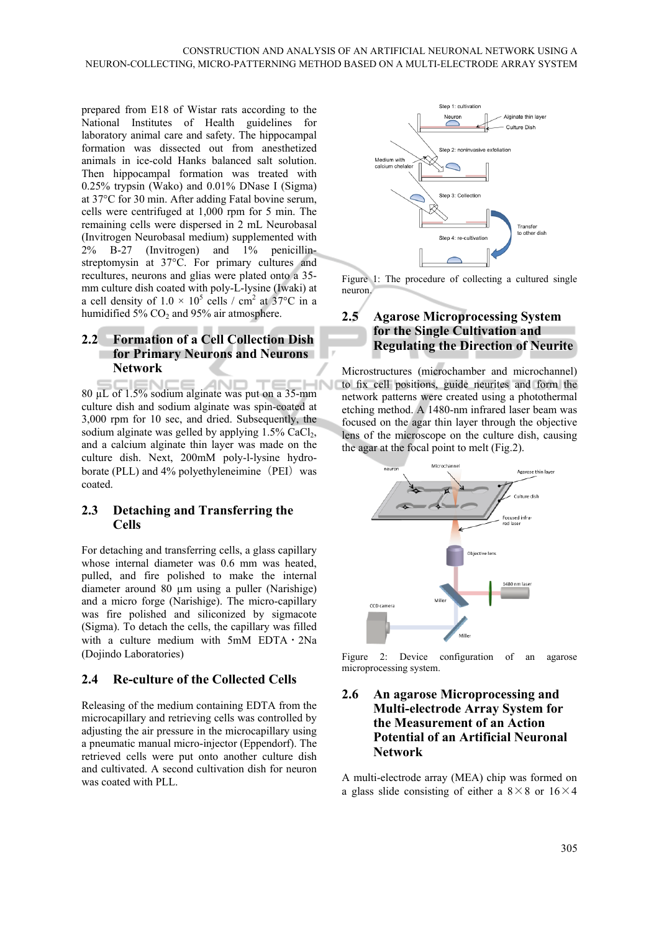prepared from E18 of Wistar rats according to the National Institutes of Health guidelines for laboratory animal care and safety. The hippocampal formation was dissected out from anesthetized animals in ice-cold Hanks balanced salt solution. Then hippocampal formation was treated with 0.25% trypsin (Wako) and 0.01% DNase I (Sigma) at 37°C for 30 min. After adding Fatal bovine serum, cells were centrifuged at 1,000 rpm for 5 min. The remaining cells were dispersed in 2 mL Neurobasal (Invitrogen Neurobasal medium) supplemented with 2% B-27 (Invitrogen) and 1% penicillinstreptomysin at 37°C. For primary cultures and recultures, neurons and glias were plated onto a 35 mm culture dish coated with poly-L-lysine (Iwaki) at a cell density of  $1.0 \times 10^5$  cells / cm<sup>2</sup> at 37°C in a humidified 5%  $CO<sub>2</sub>$  and 95% air atmosphere.

#### **2.2 Formation of a Cell Collection Dish for Primary Neurons and Neurons Network**

ΔN IN 80 µL of 1.5% sodium alginate was put on a 35-mm culture dish and sodium alginate was spin-coated at 3,000 rpm for 10 sec, and dried. Subsequently, the sodium alginate was gelled by applying  $1.5\%$  CaCl<sub>2</sub>, and a calcium alginate thin layer was made on the culture dish. Next, 200mM poly-l-lysine hydroborate (PLL) and 4% polyethyleneimine (PEI) was coated.

#### **2.3 Detaching and Transferring the Cells**

For detaching and transferring cells, a glass capillary whose internal diameter was 0.6 mm was heated, pulled, and fire polished to make the internal diameter around 80 µm using a puller (Narishige) and a micro forge (Narishige). The micro-capillary was fire polished and siliconized by sigmacote (Sigma). To detach the cells, the capillary was filled with a culture medium with  $5mM$  EDTA  $\cdot$  2Na (Dojindo Laboratories)

### **2.4 Re-culture of the Collected Cells**

Releasing of the medium containing EDTA from the microcapillary and retrieving cells was controlled by adjusting the air pressure in the microcapillary using a pneumatic manual micro-injector (Eppendorf). The retrieved cells were put onto another culture dish and cultivated. A second cultivation dish for neuron was coated with PLL.



Figure 1: The procedure of collecting a cultured single neuron.

## **2.5 Agarose Microprocessing System for the Single Cultivation and Regulating the Direction of Neurite**

Microstructures (microchamber and microchannel) to fix cell positions, guide neurites and form the network patterns were created using a photothermal etching method. A 1480-nm infrared laser beam was focused on the agar thin layer through the objective lens of the microscope on the culture dish, causing the agar at the focal point to melt (Fig.2).



Figure 2: Device configuration of an agarose microprocessing system.

#### **2.6 An agarose Microprocessing and Multi-electrode Array System for the Measurement of an Action Potential of an Artificial Neuronal Network**

A multi-electrode array (MEA) chip was formed on a glass slide consisting of either a  $8 \times 8$  or  $16 \times 4$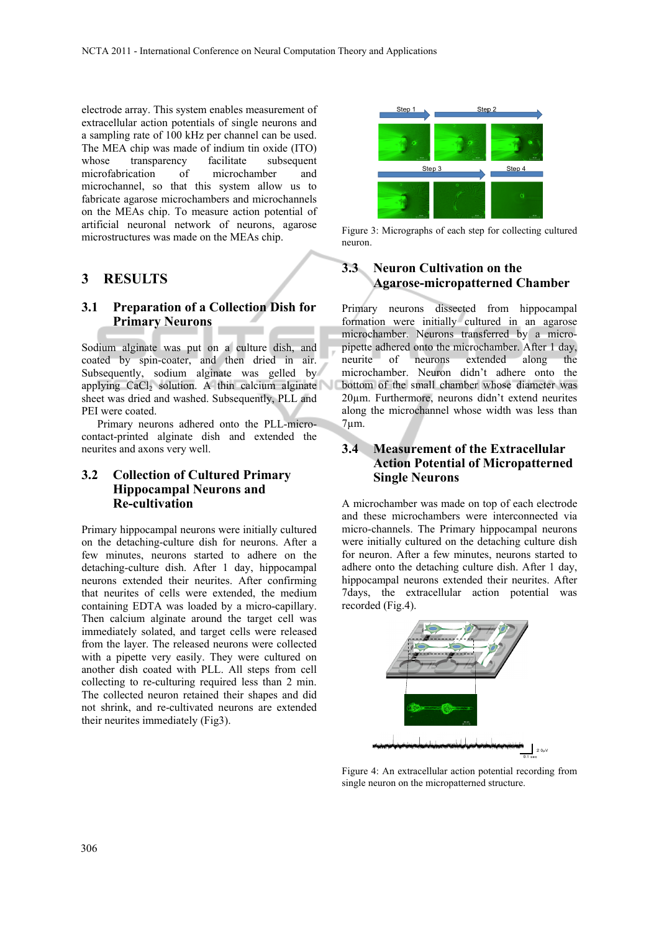electrode array. This system enables measurement of extracellular action potentials of single neurons and a sampling rate of 100 kHz per channel can be used. The MEA chip was made of indium tin oxide (ITO) whose transparency facilitate subsequent microfabrication of microchamber and microchannel, so that this system allow us to fabricate agarose microchambers and microchannels on the MEAs chip. To measure action potential of artificial neuronal network of neurons, agarose microstructures was made on the MEAs chip.

#### **3 RESULTS**

#### **3.1 Preparation of a Collection Dish for Primary Neurons**

Sodium alginate was put on a culture dish, and coated by spin-coater, and then dried in air. Subsequently, sodium alginate was gelled by applying  $CaCl<sub>2</sub>$  solution. A thin calcium alginate sheet was dried and washed. Subsequently, PLL and PEI were coated.

Primary neurons adhered onto the PLL-microcontact-printed alginate dish and extended the neurites and axons very well.

#### **3.2 Collection of Cultured Primary Hippocampal Neurons and Re-cultivation**

Primary hippocampal neurons were initially cultured on the detaching-culture dish for neurons. After a few minutes, neurons started to adhere on the detaching-culture dish. After 1 day, hippocampal neurons extended their neurites. After confirming that neurites of cells were extended, the medium containing EDTA was loaded by a micro-capillary. Then calcium alginate around the target cell was immediately solated, and target cells were released from the layer. The released neurons were collected with a pipette very easily. They were cultured on another dish coated with PLL. All steps from cell collecting to re-culturing required less than 2 min. The collected neuron retained their shapes and did not shrink, and re-cultivated neurons are extended their neurites immediately (Fig3).



Figure 3: Micrographs of each step for collecting cultured neuron.

#### **3.3 Neuron Cultivation on the Agarose-micropatterned Chamber**

Primary neurons dissected from hippocampal formation were initially cultured in an agarose microchamber. Neurons transferred by a micropipette adhered onto the microchamber. After 1 day, neurite of neurons extended along the microchamber. Neuron didn't adhere onto the bottom of the small chamber whose diameter was 20µm. Furthermore, neurons didn't extend neurites along the microchannel whose width was less than 7µm.

#### **3.4 Measurement of the Extracellular Action Potential of Micropatterned Single Neurons**

A microchamber was made on top of each electrode and these microchambers were interconnected via micro-channels. The Primary hippocampal neurons were initially cultured on the detaching culture dish for neuron. After a few minutes, neurons started to adhere onto the detaching culture dish. After 1 day, hippocampal neurons extended their neurites. After 7days, the extracellular action potential was recorded (Fig.4).



Figure 4: An extracellular action potential recording from single neuron on the micropatterned structure.